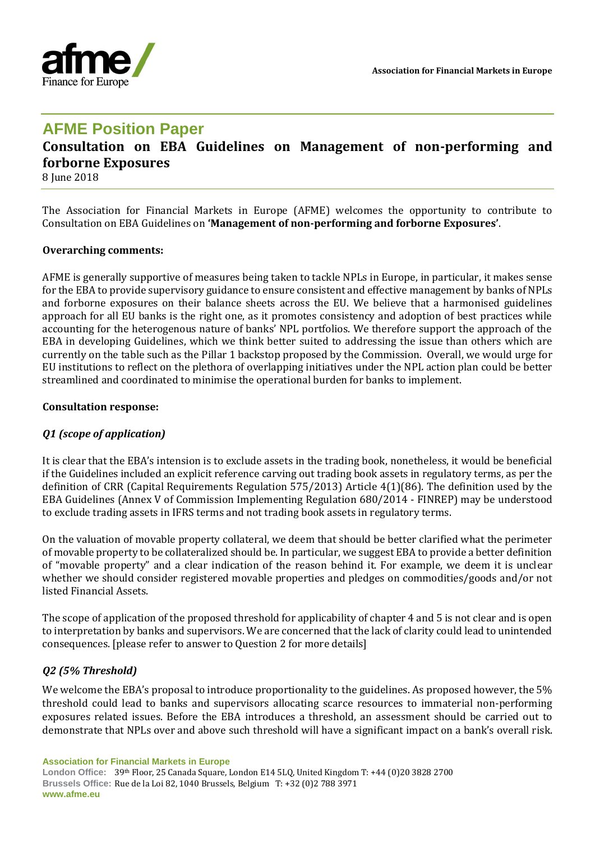

## **AFME Position Paper**

# **Consultation on EBA Guidelines on Management of non-performing and forborne Exposures**

8 June 2018

The Association for Financial Markets in Europe (AFME) welcomes the opportunity to contribute to Consultation on EBA Guidelines on **'Management of non-performing and forborne Exposures'**.

#### **Overarching comments:**

AFME is generally supportive of measures being taken to tackle NPLs in Europe, in particular, it makes sense for the EBA to provide supervisory guidance to ensure consistent and effective management by banks of NPLs and forborne exposures on their balance sheets across the EU. We believe that a harmonised guidelines approach for all EU banks is the right one, as it promotes consistency and adoption of best practices while accounting for the heterogenous nature of banks' NPL portfolios. We therefore support the approach of the EBA in developing Guidelines, which we think better suited to addressing the issue than others which are currently on the table such as the Pillar 1 backstop proposed by the Commission. Overall, we would urge for EU institutions to reflect on the plethora of overlapping initiatives under the NPL action plan could be better streamlined and coordinated to minimise the operational burden for banks to implement.

#### **Consultation response:**

## *Q1 (scope of application)*

It is clear that the EBA's intension is to exclude assets in the trading book, nonetheless, it would be beneficial if the Guidelines included an explicit reference carving out trading book assets in regulatory terms, as per the definition of CRR (Capital Requirements Regulation 575/2013) Article 4(1)(86). The definition used by the EBA Guidelines (Annex V of Commission Implementing Regulation 680/2014 - FINREP) may be understood to exclude trading assets in IFRS terms and not trading book assets in regulatory terms.

On the valuation of movable property collateral, we deem that should be better clarified what the perimeter of movable property to be collateralized should be. In particular, we suggest EBA to provide a better definition of "movable property" and a clear indication of the reason behind it. For example, we deem it is unclear whether we should consider registered movable properties and pledges on commodities/goods and/or not listed Financial Assets.

The scope of application of the proposed threshold for applicability of chapter 4 and 5 is not clear and is open to interpretation by banks and supervisors. We are concerned that the lack of clarity could lead to unintended consequences. [please refer to answer to Question 2 for more details]

## *Q2 (5% Threshold)*

We welcome the EBA's proposal to introduce proportionality to the guidelines. As proposed however, the 5% threshold could lead to banks and supervisors allocating scarce resources to immaterial non-performing exposures related issues. Before the EBA introduces a threshold, an assessment should be carried out to demonstrate that NPLs over and above such threshold will have a significant impact on a bank's overall risk.

**Association for Financial Markets in Europe**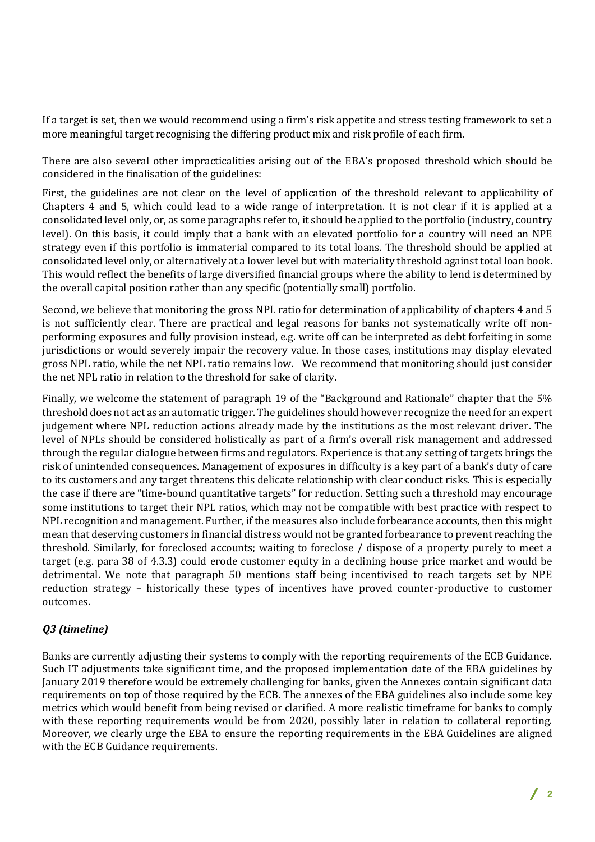If a target is set, then we would recommend using a firm's risk appetite and stress testing framework to set a more meaningful target recognising the differing product mix and risk profile of each firm.

There are also several other impracticalities arising out of the EBA's proposed threshold which should be considered in the finalisation of the guidelines:

First, the guidelines are not clear on the level of application of the threshold relevant to applicability of Chapters 4 and 5, which could lead to a wide range of interpretation. It is not clear if it is applied at a consolidated level only, or, as some paragraphs refer to, it should be applied to the portfolio (industry, country level). On this basis, it could imply that a bank with an elevated portfolio for a country will need an NPE strategy even if this portfolio is immaterial compared to its total loans. The threshold should be applied at consolidated level only, or alternatively at a lower level but with materiality threshold against total loan book. This would reflect the benefits of large diversified financial groups where the ability to lend is determined by the overall capital position rather than any specific (potentially small) portfolio.

Second, we believe that monitoring the gross NPL ratio for determination of applicability of chapters 4 and 5 is not sufficiently clear. There are practical and legal reasons for banks not systematically write off nonperforming exposures and fully provision instead, e.g. write off can be interpreted as debt forfeiting in some jurisdictions or would severely impair the recovery value. In those cases, institutions may display elevated gross NPL ratio, while the net NPL ratio remains low. We recommend that monitoring should just consider the net NPL ratio in relation to the threshold for sake of clarity.

Finally, we welcome the statement of paragraph 19 of the "Background and Rationale" chapter that the 5% threshold does not act as an automatic trigger. The guidelines should however recognize the need for an expert judgement where NPL reduction actions already made by the institutions as the most relevant driver. The level of NPLs should be considered holistically as part of a firm's overall risk management and addressed through the regular dialogue between firms and regulators. Experience is that any setting of targets brings the risk of unintended consequences. Management of exposures in difficulty is a key part of a bank's duty of care to its customers and any target threatens this delicate relationship with clear conduct risks. This is especially the case if there are "time-bound quantitative targets" for reduction. Setting such a threshold may encourage some institutions to target their NPL ratios, which may not be compatible with best practice with respect to NPL recognition and management. Further, if the measures also include forbearance accounts, then this might mean that deserving customers in financial distress would not be granted forbearance to prevent reaching the threshold. Similarly, for foreclosed accounts; waiting to foreclose / dispose of a property purely to meet a target (e.g. para 38 of 4.3.3) could erode customer equity in a declining house price market and would be detrimental. We note that paragraph 50 mentions staff being incentivised to reach targets set by NPE reduction strategy – historically these types of incentives have proved counter-productive to customer outcomes.

## *Q3 (timeline)*

Banks are currently adjusting their systems to comply with the reporting requirements of the ECB Guidance. Such IT adjustments take significant time, and the proposed implementation date of the EBA guidelines by January 2019 therefore would be extremely challenging for banks, given the Annexes contain significant data requirements on top of those required by the ECB. The annexes of the EBA guidelines also include some key metrics which would benefit from being revised or clarified. A more realistic timeframe for banks to comply with these reporting requirements would be from 2020, possibly later in relation to collateral reporting. Moreover, we clearly urge the EBA to ensure the reporting requirements in the EBA Guidelines are aligned with the ECB Guidance requirements.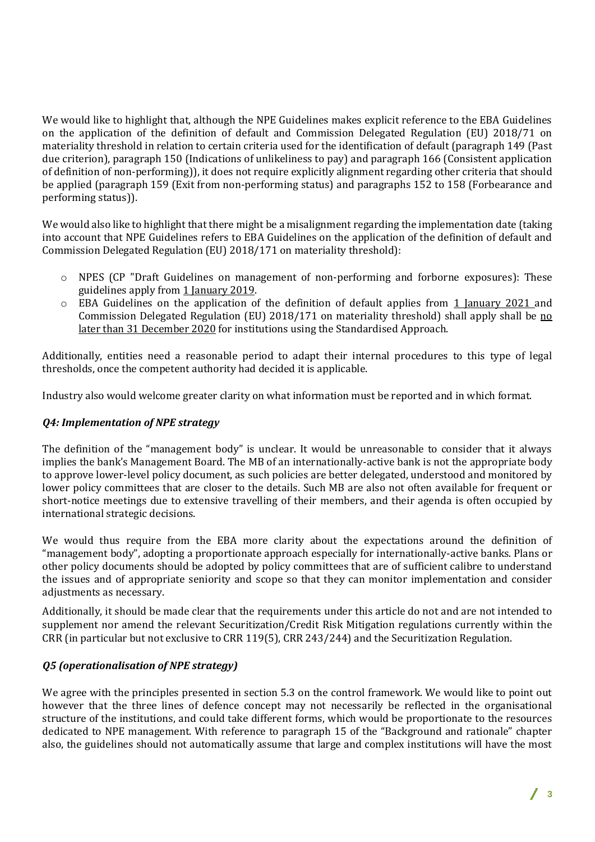We would like to highlight that, although the NPE Guidelines makes explicit reference to the EBA Guidelines on the application of the definition of default and Commission Delegated Regulation (EU) 2018/71 on materiality threshold in relation to certain criteria used for the identification of default (paragraph 149 (Past due criterion), paragraph 150 (Indications of unlikeliness to pay) and paragraph 166 (Consistent application of definition of non-performing)), it does not require explicitly alignment regarding other criteria that should be applied (paragraph 159 (Exit from non-performing status) and paragraphs 152 to 158 (Forbearance and performing status)).

We would also like to highlight that there might be a misalignment regarding the implementation date (taking into account that NPE Guidelines refers to EBA Guidelines on the application of the definition of default and Commission Delegated Regulation (EU) 2018/171 on materiality threshold):

- o NPES (CP "Draft Guidelines on management of non-performing and forborne exposures): These guidelines apply from 1 January 2019.
- o EBA Guidelines on the application of the definition of default applies from 1 January 2021 and Commission Delegated Regulation (EU) 2018/171 on materiality threshold) shall apply shall be no later than 31 December 2020 for institutions using the Standardised Approach.

Additionally, entities need a reasonable period to adapt their internal procedures to this type of legal thresholds, once the competent authority had decided it is applicable.

Industry also would welcome greater clarity on what information must be reported and in which format.

## *Q4: Implementation of NPE strategy*

The definition of the "management body" is unclear. It would be unreasonable to consider that it always implies the bank's Management Board. The MB of an internationally-active bank is not the appropriate body to approve lower-level policy document, as such policies are better delegated, understood and monitored by lower policy committees that are closer to the details. Such MB are also not often available for frequent or short-notice meetings due to extensive travelling of their members, and their agenda is often occupied by international strategic decisions.

We would thus require from the EBA more clarity about the expectations around the definition of "management body", adopting a proportionate approach especially for internationally-active banks. Plans or other policy documents should be adopted by policy committees that are of sufficient calibre to understand the issues and of appropriate seniority and scope so that they can monitor implementation and consider adjustments as necessary.

Additionally, it should be made clear that the requirements under this article do not and are not intended to supplement nor amend the relevant Securitization/Credit Risk Mitigation regulations currently within the CRR (in particular but not exclusive to CRR 119(5), CRR 243/244) and the Securitization Regulation.

## *Q5 (operationalisation of NPE strategy)*

We agree with the principles presented in section 5.3 on the control framework. We would like to point out however that the three lines of defence concept may not necessarily be reflected in the organisational structure of the institutions, and could take different forms, which would be proportionate to the resources dedicated to NPE management. With reference to paragraph 15 of the "Background and rationale" chapter also, the guidelines should not automatically assume that large and complex institutions will have the most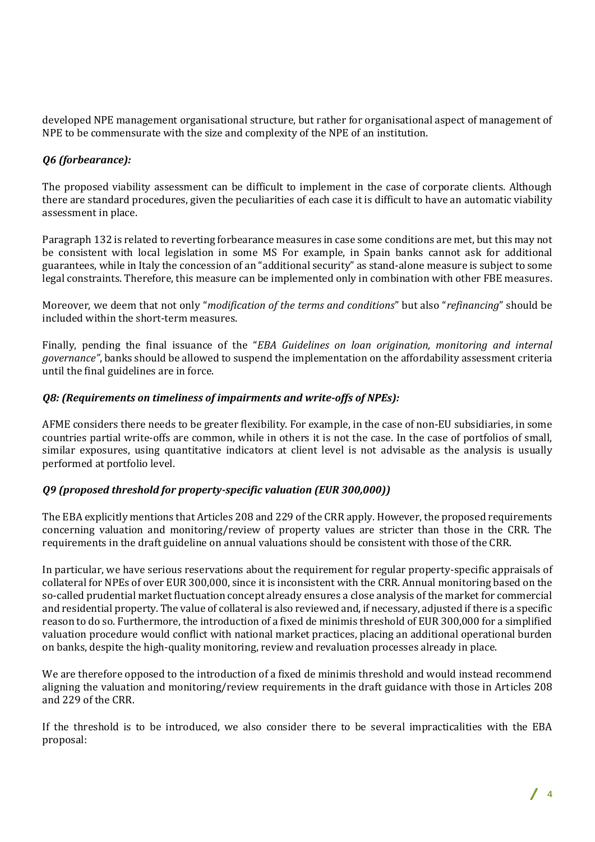developed NPE management organisational structure, but rather for organisational aspect of management of NPE to be commensurate with the size and complexity of the NPE of an institution.

## *Q6 (forbearance):*

The proposed viability assessment can be difficult to implement in the case of corporate clients. Although there are standard procedures, given the peculiarities of each case it is difficult to have an automatic viability assessment in place.

Paragraph 132 is related to reverting forbearance measures in case some conditions are met, but this may not be consistent with local legislation in some MS For example, in Spain banks cannot ask for additional guarantees, while in Italy the concession of an "additional security" as stand-alone measure is subject to some legal constraints. Therefore, this measure can be implemented only in combination with other FBE measures.

Moreover, we deem that not only "*modification of the terms and conditions*" but also "*refinancing*" should be included within the short-term measures.

Finally, pending the final issuance of the "*EBA Guidelines on loan origination, monitoring and internal governance"*, banks should be allowed to suspend the implementation on the affordability assessment criteria until the final guidelines are in force.

## *Q8: (Requirements on timeliness of impairments and write-offs of NPEs):*

AFME considers there needs to be greater flexibility. For example, in the case of non-EU subsidiaries, in some countries partial write-offs are common, while in others it is not the case. In the case of portfolios of small, similar exposures, using quantitative indicators at client level is not advisable as the analysis is usually performed at portfolio level.

## *Q9 (proposed threshold for property-specific valuation (EUR 300,000))*

The EBA explicitly mentions that Articles 208 and 229 of the CRR apply. However, the proposed requirements concerning valuation and monitoring/review of property values are stricter than those in the CRR. The requirements in the draft guideline on annual valuations should be consistent with those of the CRR.

In particular, we have serious reservations about the requirement for regular property-specific appraisals of collateral for NPEs of over EUR 300,000, since it is inconsistent with the CRR. Annual monitoring based on the so-called prudential market fluctuation concept already ensures a close analysis of the market for commercial and residential property. The value of collateral is also reviewed and, if necessary, adjusted if there is a specific reason to do so. Furthermore, the introduction of a fixed de minimis threshold of EUR 300,000 for a simplified valuation procedure would conflict with national market practices, placing an additional operational burden on banks, despite the high-quality monitoring, review and revaluation processes already in place.

We are therefore opposed to the introduction of a fixed de minimis threshold and would instead recommend aligning the valuation and monitoring/review requirements in the draft guidance with those in Articles 208 and 229 of the CRR.

If the threshold is to be introduced, we also consider there to be several impracticalities with the EBA proposal: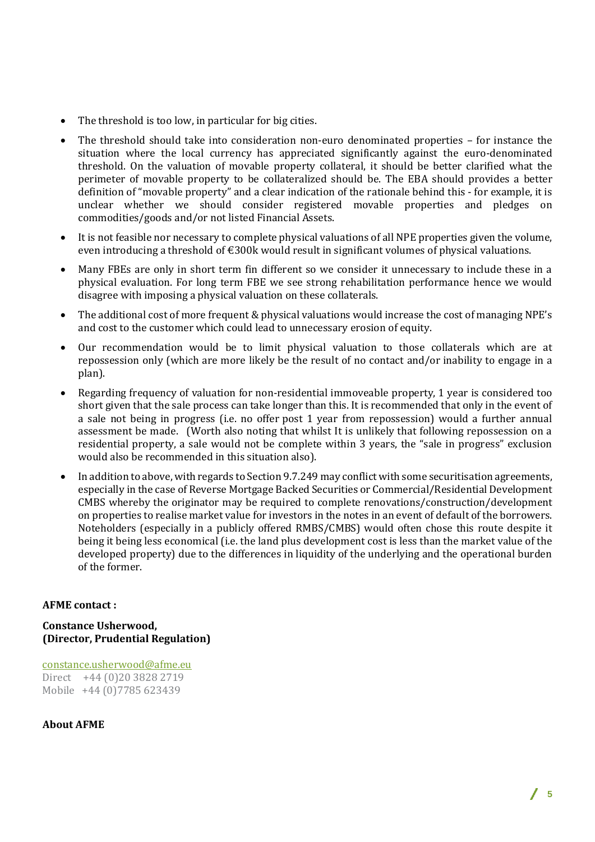- The threshold is too low, in particular for big cities.
- The threshold should take into consideration non-euro denominated properties for instance the situation where the local currency has appreciated significantly against the euro-denominated threshold. On the valuation of movable property collateral, it should be better clarified what the perimeter of movable property to be collateralized should be. The EBA should provides a better definition of "movable property" and a clear indication of the rationale behind this - for example, it is unclear whether we should consider registered movable properties and pledges on commodities/goods and/or not listed Financial Assets.
- It is not feasible nor necessary to complete physical valuations of all NPE properties given the volume, even introducing a threshold of  $\epsilon$ 300k would result in significant volumes of physical valuations.
- Many FBEs are only in short term fin different so we consider it unnecessary to include these in a physical evaluation. For long term FBE we see strong rehabilitation performance hence we would disagree with imposing a physical valuation on these collaterals.
- The additional cost of more frequent & physical valuations would increase the cost of managing NPE's and cost to the customer which could lead to unnecessary erosion of equity.
- Our recommendation would be to limit physical valuation to those collaterals which are at repossession only (which are more likely be the result of no contact and/or inability to engage in a plan).
- Regarding frequency of valuation for non-residential immoveable property, 1 year is considered too short given that the sale process can take longer than this. It is recommended that only in the event of a sale not being in progress (i.e. no offer post 1 year from repossession) would a further annual assessment be made. (Worth also noting that whilst It is unlikely that following repossession on a residential property, a sale would not be complete within 3 years, the "sale in progress" exclusion would also be recommended in this situation also).
- In addition to above, with regards to Section 9.7.249 may conflict with some securitisation agreements, especially in the case of Reverse Mortgage Backed Securities or Commercial/Residential Development CMBS whereby the originator may be required to complete renovations/construction/development on properties to realise market value for investors in the notes in an event of default of the borrowers. Noteholders (especially in a publicly offered RMBS/CMBS) would often chose this route despite it being it being less economical (i.e. the land plus development cost is less than the market value of the developed property) due to the differences in liquidity of the underlying and the operational burden of the former.

## **AFME contact :**

**Constance Usherwood, (Director, Prudential Regulation)**

[constance.usherwood@afme.eu](mailto:constance.usherwood@afme.eu) Direct +44 (0)20 3828 2719 Mobile +44 (0)7785 623439

**About AFME**